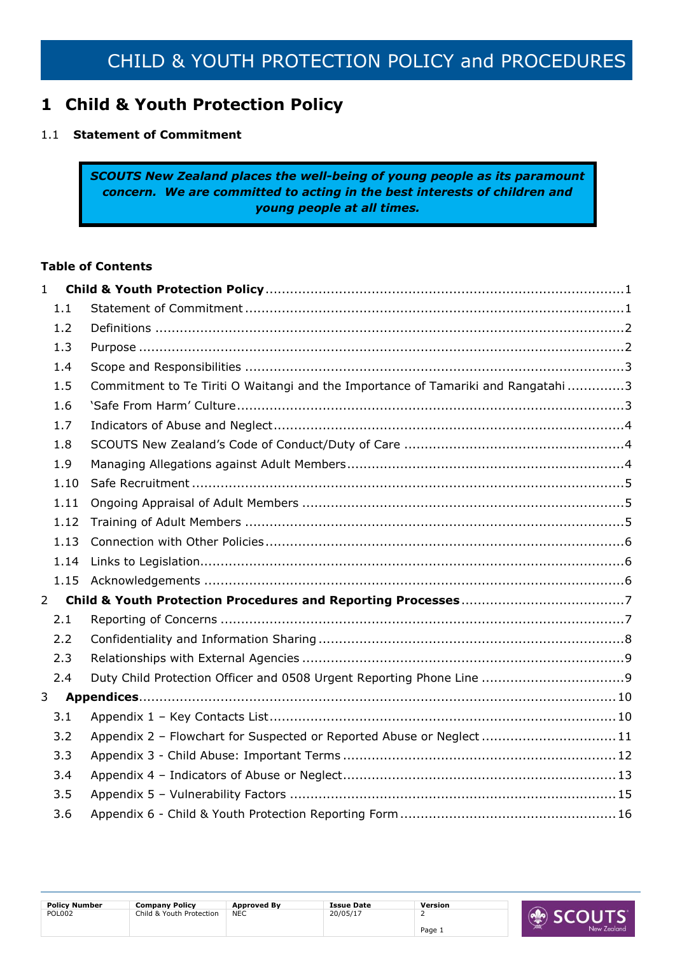## <span id="page-0-0"></span>**1 Child & Youth Protection Policy**

### <span id="page-0-1"></span>1.1 **Statement of Commitment**

*SCOUTS New Zealand places the well-being of young people as its paramount concern. We are committed to acting in the best interests of children and young people at all times.*

### **Table of Contents**

| $\mathbf{1}$ |             |                                                                                  |  |
|--------------|-------------|----------------------------------------------------------------------------------|--|
|              | 1.1         |                                                                                  |  |
|              | 1.2         |                                                                                  |  |
|              | 1.3         |                                                                                  |  |
|              | 1.4         |                                                                                  |  |
|              | 1.5         | Commitment to Te Tiriti O Waitangi and the Importance of Tamariki and Rangatahi3 |  |
|              | 1.6         |                                                                                  |  |
|              | 1.7         |                                                                                  |  |
|              | 1.8         |                                                                                  |  |
|              | 1.9         |                                                                                  |  |
|              | 1.10        |                                                                                  |  |
|              | 1.11        |                                                                                  |  |
|              | 1.12        |                                                                                  |  |
|              | 1.13        |                                                                                  |  |
|              | 1.14        |                                                                                  |  |
|              | 1.15        |                                                                                  |  |
|              | $2^{\circ}$ |                                                                                  |  |
|              | 2.1         |                                                                                  |  |
|              | 2.2         |                                                                                  |  |
|              | 2.3         |                                                                                  |  |
|              | 2.4         |                                                                                  |  |
|              |             |                                                                                  |  |
|              | 3.1         |                                                                                  |  |
|              | 3.2         | Appendix 2 - Flowchart for Suspected or Reported Abuse or Neglect 11             |  |
|              | 3.3         |                                                                                  |  |
|              | 3.4         |                                                                                  |  |
|              | 3.5         |                                                                                  |  |
|              | 3.6         |                                                                                  |  |

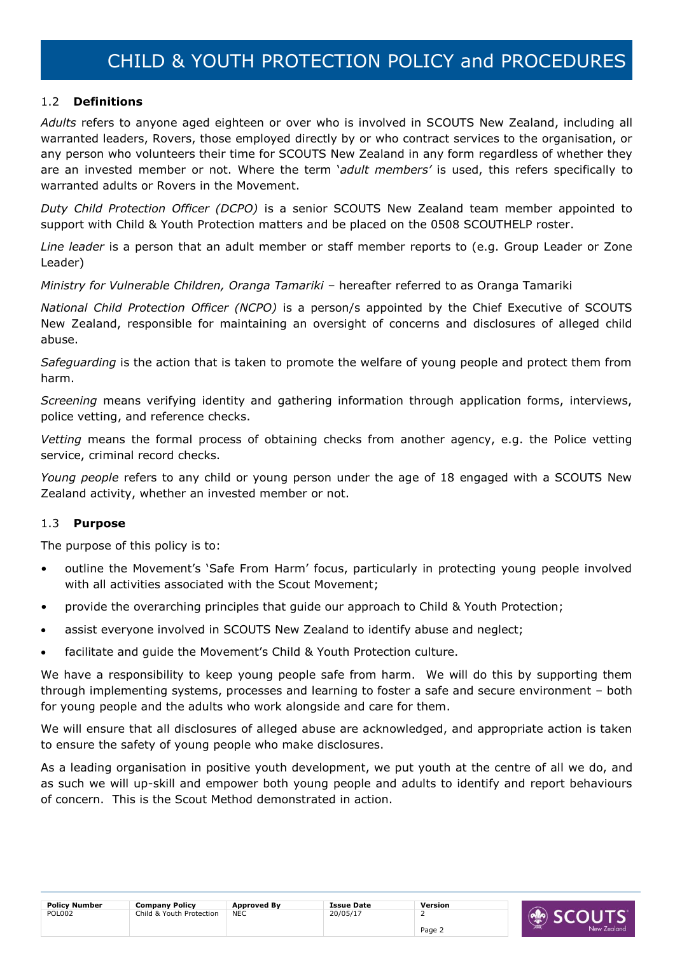### <span id="page-1-0"></span>1.2 **Definitions**

*Adults* refers to anyone aged eighteen or over who is involved in SCOUTS New Zealand, including all warranted leaders, Rovers, those employed directly by or who contract services to the organisation, or any person who volunteers their time for SCOUTS New Zealand in any form regardless of whether they are an invested member or not. Where the term '*adult members'* is used, this refers specifically to warranted adults or Rovers in the Movement.

*Duty Child Protection Officer (DCPO)* is a senior SCOUTS New Zealand team member appointed to support with Child & Youth Protection matters and be placed on the 0508 SCOUTHELP roster.

*Line leader* is a person that an adult member or staff member reports to (e.g. Group Leader or Zone Leader)

*Ministry for Vulnerable Children, Oranga Tamariki* – hereafter referred to as Oranga Tamariki

*National Child Protection Officer (NCPO)* is a person/s appointed by the Chief Executive of SCOUTS New Zealand, responsible for maintaining an oversight of concerns and disclosures of alleged child abuse.

*Safeguarding* is the action that is taken to promote the welfare of young people and protect them from harm.

*Screening* means verifying identity and gathering information through application forms, interviews, police vetting, and reference checks.

*Vetting* means the formal process of obtaining checks from another agency, e.g. the Police vetting service, criminal record checks.

*Young people* refers to any child or young person under the age of 18 engaged with a SCOUTS New Zealand activity, whether an invested member or not.

### <span id="page-1-1"></span>1.3 **Purpose**

The purpose of this policy is to:

- outline the Movement's 'Safe From Harm' focus, particularly in protecting young people involved with all activities associated with the Scout Movement;
- provide the overarching principles that guide our approach to Child & Youth Protection;
- assist everyone involved in SCOUTS New Zealand to identify abuse and neglect;
- facilitate and guide the Movement's Child & Youth Protection culture.

We have a responsibility to keep young people safe from harm. We will do this by supporting them through implementing systems, processes and learning to foster a safe and secure environment – both for young people and the adults who work alongside and care for them.

We will ensure that all disclosures of alleged abuse are acknowledged, and appropriate action is taken to ensure the safety of young people who make disclosures.

As a leading organisation in positive youth development, we put youth at the centre of all we do, and as such we will up-skill and empower both young people and adults to identify and report behaviours of concern. This is the Scout Method demonstrated in action.

| <b>Policy Number</b><br><b>Company Policy</b><br><b>Approved By</b><br><b>Issue Date</b><br>Version |
|-----------------------------------------------------------------------------------------------------|
| <b>POL002</b><br>20/05/17<br>Child & Youth Protection<br>NEC                                        |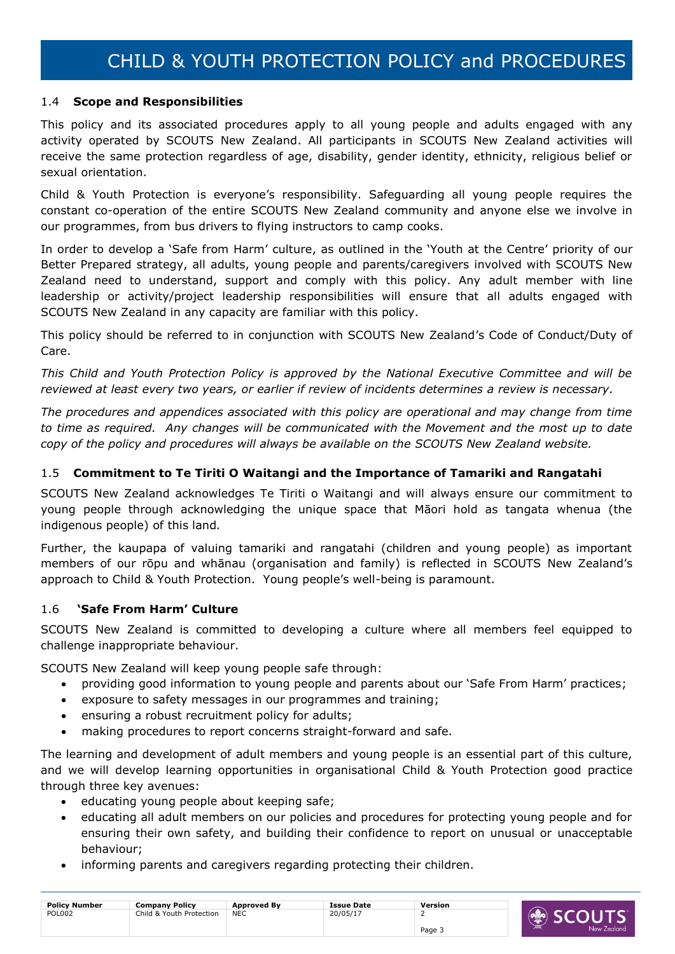### <span id="page-2-0"></span>1.4 **Scope and Responsibilities**

This policy and its associated procedures apply to all young people and adults engaged with any activity operated by SCOUTS New Zealand. All participants in SCOUTS New Zealand activities will receive the same protection regardless of age, disability, gender identity, ethnicity, religious belief or sexual orientation.

Child & Youth Protection is everyone's responsibility. Safeguarding all young people requires the constant co-operation of the entire SCOUTS New Zealand community and anyone else we involve in our programmes, from bus drivers to flying instructors to camp cooks.

In order to develop a 'Safe from Harm' culture, as outlined in the 'Youth at the Centre' priority of our Better Prepared strategy, all adults, young people and parents/caregivers involved with SCOUTS New Zealand need to understand, support and comply with this policy. Any adult member with line leadership or activity/project leadership responsibilities will ensure that all adults engaged with SCOUTS New Zealand in any capacity are familiar with this policy.

This policy should be referred to in conjunction with SCOUTS New Zealand's Code of Conduct/Duty of Care.

*This Child and Youth Protection Policy is approved by the National Executive Committee and will be reviewed at least every two years, or earlier if review of incidents determines a review is necessary.* 

*The procedures and appendices associated with this policy are operational and may change from time to time as required. Any changes will be communicated with the Movement and the most up to date copy of the policy and procedures will always be available on the SCOUTS New Zealand website.* 

### <span id="page-2-1"></span>1.5 **Commitment to Te Tiriti O Waitangi and the Importance of Tamariki and Rangatahi**

SCOUTS New Zealand acknowledges Te Tiriti o Waitangi and will always ensure our commitment to young people through acknowledging the unique space that Māori hold as tangata whenua (the indigenous people) of this land*.*

Further, the kaupapa of valuing tamariki and rangatahi (children and young people) as important members of our rōpu and whānau (organisation and family) is reflected in SCOUTS New Zealand's approach to Child & Youth Protection. Young people's well-being is paramount.

### <span id="page-2-2"></span>1.6 **'Safe From Harm' Culture**

SCOUTS New Zealand is committed to developing a culture where all members feel equipped to challenge inappropriate behaviour.

SCOUTS New Zealand will keep young people safe through:

- providing good information to young people and parents about our 'Safe From Harm' practices;
- exposure to safety messages in our programmes and training;
- ensuring a robust recruitment policy for adults;
- making procedures to report concerns straight-forward and safe.

The learning and development of adult members and young people is an essential part of this culture, and we will develop learning opportunities in organisational Child & Youth Protection good practice through three key avenues:

- educating young people about keeping safe;
- educating all adult members on our policies and procedures for protecting young people and for ensuring their own safety, and building their confidence to report on unusual or unacceptable behaviour;
- informing parents and caregivers regarding protecting their children.

| <b>Policy Number</b> | <b>Company Policy</b>    | <b>Approved By</b> | <b>Issue Date</b> | Version |
|----------------------|--------------------------|--------------------|-------------------|---------|
| POL002               | Child & Youth Protection | <b>NEC</b>         | 20/05/17          |         |
|                      |                          |                    |                   | Page 5  |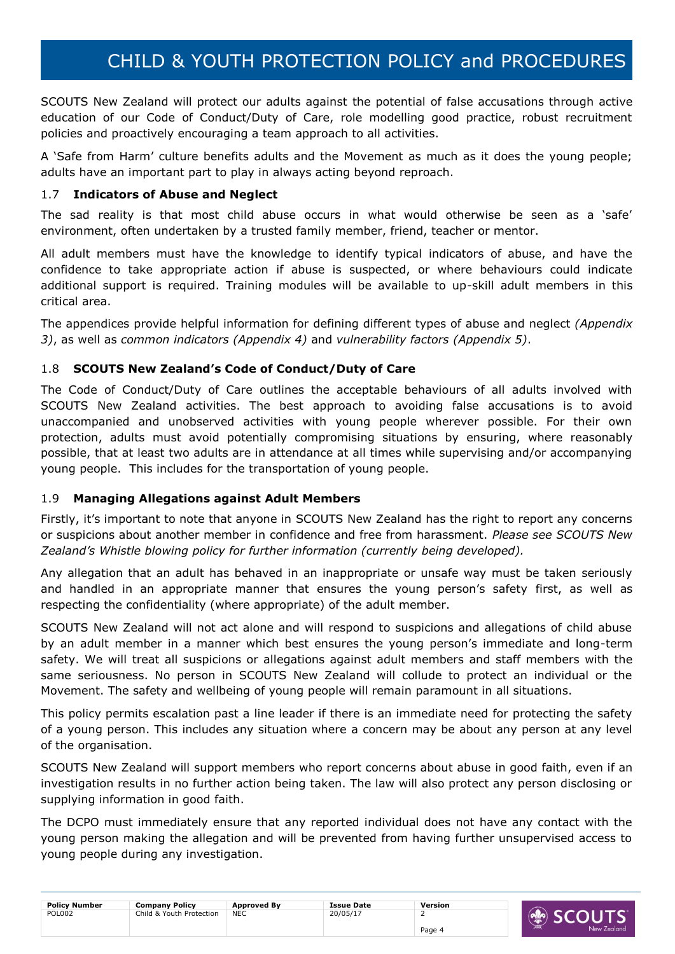SCOUTS New Zealand will protect our adults against the potential of false accusations through active education of our Code of Conduct/Duty of Care, role modelling good practice, robust recruitment policies and proactively encouraging a team approach to all activities.

A 'Safe from Harm' culture benefits adults and the Movement as much as it does the young people; adults have an important part to play in always acting beyond reproach.

### <span id="page-3-0"></span>1.7 **Indicators of Abuse and Neglect**

The sad reality is that most child abuse occurs in what would otherwise be seen as a 'safe' environment, often undertaken by a trusted family member, friend, teacher or mentor.

All adult members must have the knowledge to identify typical indicators of abuse, and have the confidence to take appropriate action if abuse is suspected, or where behaviours could indicate additional support is required. Training modules will be available to up-skill adult members in this critical area.

The appendices provide helpful information for defining different types of abuse and neglect *(Appendix 3)*, as well as *common indicators (Appendix 4)* and *vulnerability factors (Appendix 5)*.

### <span id="page-3-1"></span>1.8 **SCOUTS New Zealand's Code of Conduct/Duty of Care**

The Code of Conduct/Duty of Care outlines the acceptable behaviours of all adults involved with SCOUTS New Zealand activities. The best approach to avoiding false accusations is to avoid unaccompanied and unobserved activities with young people wherever possible. For their own protection, adults must avoid potentially compromising situations by ensuring, where reasonably possible, that at least two adults are in attendance at all times while supervising and/or accompanying young people. This includes for the transportation of young people.

### <span id="page-3-2"></span>1.9 **Managing Allegations against Adult Members**

Firstly, it's important to note that anyone in SCOUTS New Zealand has the right to report any concerns or suspicions about another member in confidence and free from harassment. *Please see SCOUTS New Zealand's Whistle blowing policy for further information (currently being developed).*

Any allegation that an adult has behaved in an inappropriate or unsafe way must be taken seriously and handled in an appropriate manner that ensures the young person's safety first, as well as respecting the confidentiality (where appropriate) of the adult member.

SCOUTS New Zealand will not act alone and will respond to suspicions and allegations of child abuse by an adult member in a manner which best ensures the young person's immediate and long-term safety. We will treat all suspicions or allegations against adult members and staff members with the same seriousness. No person in SCOUTS New Zealand will collude to protect an individual or the Movement. The safety and wellbeing of young people will remain paramount in all situations.

This policy permits escalation past a line leader if there is an immediate need for protecting the safety of a young person. This includes any situation where a concern may be about any person at any level of the organisation.

SCOUTS New Zealand will support members who report concerns about abuse in good faith, even if an investigation results in no further action being taken. The law will also protect any person disclosing or supplying information in good faith.

The DCPO must immediately ensure that any reported individual does not have any contact with the young person making the allegation and will be prevented from having further unsupervised access to young people during any investigation.

| <b>Policy Number</b> | <b>Company Policy</b>    | <b>Approved By</b> | <b>Issue Date</b> | Version |                                                   |
|----------------------|--------------------------|--------------------|-------------------|---------|---------------------------------------------------|
| POL002               | Child & Youth Protection | <b>NEC</b>         | 20/05/17          |         | <b>SCOLIT</b><br>$\left(\text{N}_\text{R}\right)$ |
|                      |                          |                    |                   | Page 4  | New Zeala                                         |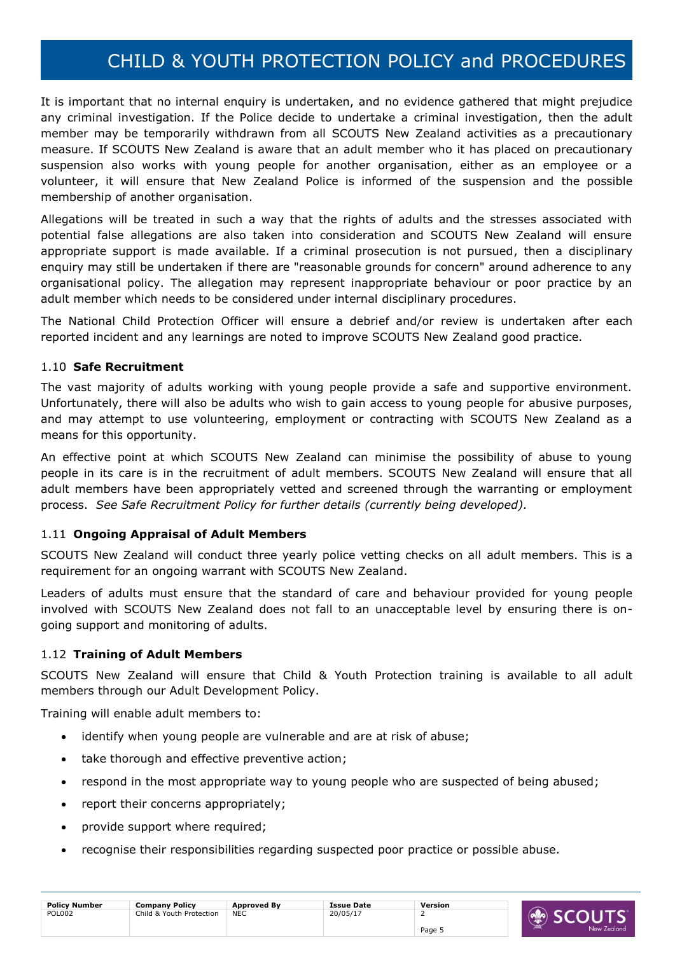It is important that no internal enquiry is undertaken, and no evidence gathered that might prejudice any criminal investigation. If the Police decide to undertake a criminal investigation, then the adult member may be temporarily withdrawn from all SCOUTS New Zealand activities as a precautionary measure. If SCOUTS New Zealand is aware that an adult member who it has placed on precautionary suspension also works with young people for another organisation, either as an employee or a volunteer, it will ensure that New Zealand Police is informed of the suspension and the possible membership of another organisation.

Allegations will be treated in such a way that the rights of adults and the stresses associated with potential false allegations are also taken into consideration and SCOUTS New Zealand will ensure appropriate support is made available. If a criminal prosecution is not pursued, then a disciplinary enquiry may still be undertaken if there are "reasonable grounds for concern" around adherence to any organisational policy. The allegation may represent inappropriate behaviour or poor practice by an adult member which needs to be considered under internal disciplinary procedures.

The National Child Protection Officer will ensure a debrief and/or review is undertaken after each reported incident and any learnings are noted to improve SCOUTS New Zealand good practice.

### <span id="page-4-0"></span>1.10 **Safe Recruitment**

The vast majority of adults working with young people provide a safe and supportive environment. Unfortunately, there will also be adults who wish to gain access to young people for abusive purposes, and may attempt to use volunteering, employment or contracting with SCOUTS New Zealand as a means for this opportunity.

An effective point at which SCOUTS New Zealand can minimise the possibility of abuse to young people in its care is in the recruitment of adult members. SCOUTS New Zealand will ensure that all adult members have been appropriately vetted and screened through the warranting or employment process. *See Safe Recruitment Policy for further details (currently being developed).*

### <span id="page-4-1"></span>1.11 **Ongoing Appraisal of Adult Members**

SCOUTS New Zealand will conduct three yearly police vetting checks on all adult members. This is a requirement for an ongoing warrant with SCOUTS New Zealand.

Leaders of adults must ensure that the standard of care and behaviour provided for young people involved with SCOUTS New Zealand does not fall to an unacceptable level by ensuring there is ongoing support and monitoring of adults.

### <span id="page-4-2"></span>1.12 **Training of Adult Members**

SCOUTS New Zealand will ensure that Child & Youth Protection training is available to all adult members through our Adult Development Policy.

Training will enable adult members to:

- identify when young people are vulnerable and are at risk of abuse;
- take thorough and effective preventive action;
- respond in the most appropriate way to young people who are suspected of being abused;
- report their concerns appropriately;
- provide support where required;
- recognise their responsibilities regarding suspected poor practice or possible abuse.

| <b>Policy Number</b> | <b>Company Policy</b>    | <b>Approved By</b> | <b>Issue Date</b> | Version |
|----------------------|--------------------------|--------------------|-------------------|---------|
| <b>POL002</b>        | Child & Youth Protection | <b>NEC</b>         | 20/05/17          |         |
|                      |                          |                    |                   | Page 5  |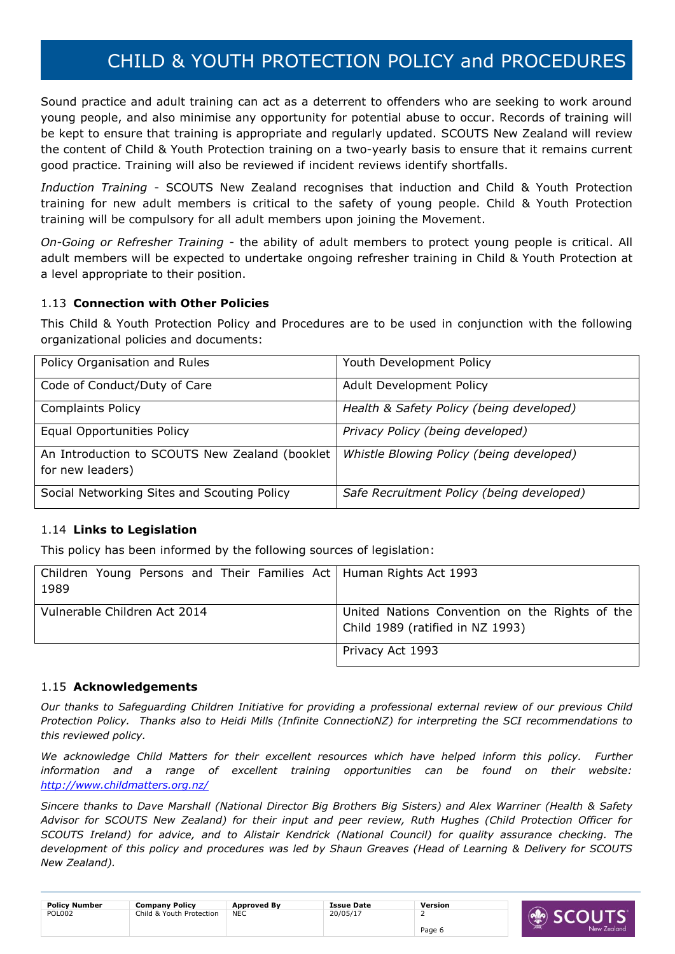Sound practice and adult training can act as a deterrent to offenders who are seeking to work around young people, and also minimise any opportunity for potential abuse to occur. Records of training will be kept to ensure that training is appropriate and regularly updated. SCOUTS New Zealand will review the content of Child & Youth Protection training on a two-yearly basis to ensure that it remains current good practice. Training will also be reviewed if incident reviews identify shortfalls.

*Induction Training* - SCOUTS New Zealand recognises that induction and Child & Youth Protection training for new adult members is critical to the safety of young people. Child & Youth Protection training will be compulsory for all adult members upon joining the Movement.

*On-Going or Refresher Training* - the ability of adult members to protect young people is critical. All adult members will be expected to undertake ongoing refresher training in Child & Youth Protection at a level appropriate to their position.

### <span id="page-5-0"></span>1.13 **Connection with Other Policies**

This Child & Youth Protection Policy and Procedures are to be used in conjunction with the following organizational policies and documents:

| Policy Organisation and Rules                                      | Youth Development Policy                  |
|--------------------------------------------------------------------|-------------------------------------------|
| Code of Conduct/Duty of Care                                       | <b>Adult Development Policy</b>           |
| <b>Complaints Policy</b>                                           | Health & Safety Policy (being developed)  |
| <b>Equal Opportunities Policy</b>                                  | Privacy Policy (being developed)          |
| An Introduction to SCOUTS New Zealand (booklet<br>for new leaders) | Whistle Blowing Policy (being developed)  |
| Social Networking Sites and Scouting Policy                        | Safe Recruitment Policy (being developed) |

### <span id="page-5-1"></span>1.14 **Links to Legislation**

This policy has been informed by the following sources of legislation:

| Children Young Persons and Their Families Act   Human Rights Act 1993<br>1989 |                                                                                    |
|-------------------------------------------------------------------------------|------------------------------------------------------------------------------------|
| Vulnerable Children Act 2014                                                  | United Nations Convention on the Rights of the<br>Child 1989 (ratified in NZ 1993) |
|                                                                               | Privacy Act 1993                                                                   |

### <span id="page-5-2"></span>1.15 **Acknowledgements**

*Our thanks to Safeguarding Children Initiative for providing a professional external review of our previous Child Protection Policy. Thanks also to Heidi Mills (Infinite ConnectioNZ) for interpreting the SCI recommendations to this reviewed policy.* 

We acknowledge Child Matters for their excellent resources which have helped inform this policy. Further *information and a range of excellent training opportunities can be found on their website: <http://www.childmatters.org.nz/>*

*Sincere thanks to Dave Marshall (National Director Big Brothers Big Sisters) and Alex Warriner (Health & Safety Advisor for SCOUTS New Zealand) for their input and peer review, Ruth Hughes (Child Protection Officer for SCOUTS Ireland) for advice, and to Alistair Kendrick (National Council) for quality assurance checking. The development of this policy and procedures was led by Shaun Greaves (Head of Learning & Delivery for SCOUTS New Zealand).* 

| <b>Policy Number</b> | <b>Company Policy</b>    | Approved By | <b>Issue Date</b> | Version |
|----------------------|--------------------------|-------------|-------------------|---------|
| <b>POL002</b>        | Child & Youth Protection | <b>NEC</b>  | 20/05/17          |         |
|                      |                          |             |                   | Page 6  |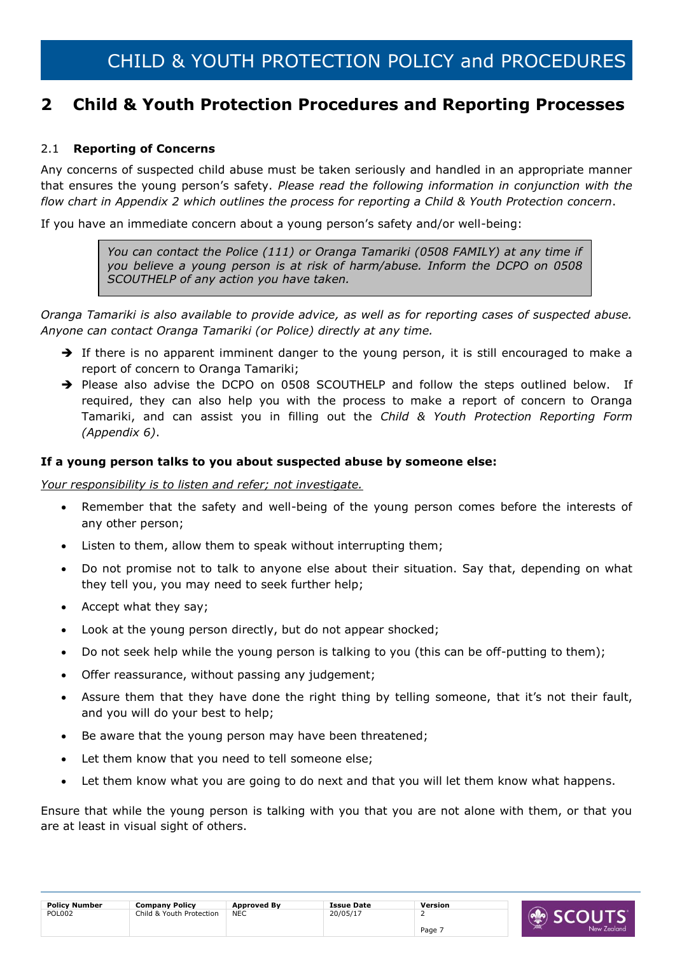### <span id="page-6-0"></span>**2 Child & Youth Protection Procedures and Reporting Processes**

### <span id="page-6-1"></span>2.1 **Reporting of Concerns**

Any concerns of suspected child abuse must be taken seriously and handled in an appropriate manner that ensures the young person's safety. *Please read the following information in conjunction with the flow chart in Appendix 2 which outlines the process for reporting a Child & Youth Protection concern*.

If you have an immediate concern about a young person's safety and/or well-being:

*You can contact the Police (111) or Oranga Tamariki (0508 FAMILY) at any time if you believe a young person is at risk of harm/abuse. Inform the DCPO on 0508 SCOUTHELP of any action you have taken.*

*Oranga Tamariki is also available to provide advice, as well as for reporting cases of suspected abuse. Anyone can contact Oranga Tamariki (or Police) directly at any time.* 

- $\rightarrow$  If there is no apparent imminent danger to the young person, it is still encouraged to make a report of concern to Oranga Tamariki;
- → Please also advise the DCPO on 0508 SCOUTHELP and follow the steps outlined below. If required, they can also help you with the process to make a report of concern to Oranga Tamariki, and can assist you in filling out the *Child & Youth Protection Reporting Form (Appendix 6)*.

### **If a young person talks to you about suspected abuse by someone else:**

*Your responsibility is to listen and refer; not investigate.* 

- Remember that the safety and well-being of the young person comes before the interests of any other person;
- Listen to them, allow them to speak without interrupting them;
- Do not promise not to talk to anyone else about their situation. Say that, depending on what they tell you, you may need to seek further help;
- Accept what they say;
- Look at the young person directly, but do not appear shocked;
- Do not seek help while the young person is talking to you (this can be off-putting to them);
- Offer reassurance, without passing any judgement;
- Assure them that they have done the right thing by telling someone, that it's not their fault, and you will do your best to help;
- Be aware that the young person may have been threatened;
- Let them know that you need to tell someone else;
- Let them know what you are going to do next and that you will let them know what happens.

Ensure that while the young person is talking with you that you are not alone with them, or that you are at least in visual sight of others.

| <b>Policy Number</b> | <b>Company Policy</b>    | <b>Approved By</b> | <b>Issue Date</b> | Version |
|----------------------|--------------------------|--------------------|-------------------|---------|
| <b>POL002</b>        | Child & Youth Protection | <b>NEC</b>         | 20/05/17          | -       |
|                      |                          |                    |                   | Page:   |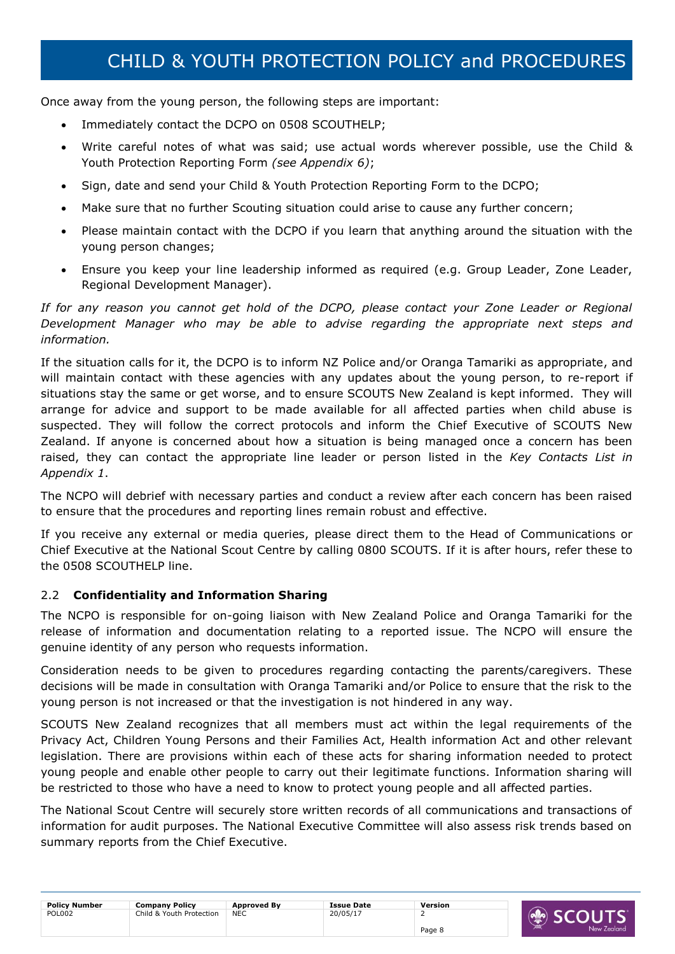Once away from the young person, the following steps are important:

- Immediately contact the DCPO on 0508 SCOUTHELP;
- Write careful notes of what was said; use actual words wherever possible, use the Child & Youth Protection Reporting Form *(see Appendix 6)*;
- Sign, date and send your Child & Youth Protection Reporting Form to the DCPO;
- Make sure that no further Scouting situation could arise to cause any further concern;
- Please maintain contact with the DCPO if you learn that anything around the situation with the young person changes;
- Ensure you keep your line leadership informed as required (e.g. Group Leader, Zone Leader, Regional Development Manager).

If for any reason you cannot get hold of the DCPO, please contact your Zone Leader or Regional *Development Manager who may be able to advise regarding the appropriate next steps and information.* 

If the situation calls for it, the DCPO is to inform NZ Police and/or Oranga Tamariki as appropriate, and will maintain contact with these agencies with any updates about the young person, to re-report if situations stay the same or get worse, and to ensure SCOUTS New Zealand is kept informed. They will arrange for advice and support to be made available for all affected parties when child abuse is suspected. They will follow the correct protocols and inform the Chief Executive of SCOUTS New Zealand. If anyone is concerned about how a situation is being managed once a concern has been raised, they can contact the appropriate line leader or person listed in the *Key Contacts List in Appendix 1*.

The NCPO will debrief with necessary parties and conduct a review after each concern has been raised to ensure that the procedures and reporting lines remain robust and effective.

If you receive any external or media queries, please direct them to the Head of Communications or Chief Executive at the National Scout Centre by calling 0800 SCOUTS. If it is after hours, refer these to the 0508 SCOUTHELP line.

### <span id="page-7-0"></span>2.2 **Confidentiality and Information Sharing**

The NCPO is responsible for on-going liaison with New Zealand Police and Oranga Tamariki for the release of information and documentation relating to a reported issue. The NCPO will ensure the genuine identity of any person who requests information.

Consideration needs to be given to procedures regarding contacting the parents/caregivers. These decisions will be made in consultation with Oranga Tamariki and/or Police to ensure that the risk to the young person is not increased or that the investigation is not hindered in any way.

SCOUTS New Zealand recognizes that all members must act within the legal requirements of the Privacy Act, Children Young Persons and their Families Act, Health information Act and other relevant legislation. There are provisions within each of these acts for sharing information needed to protect young people and enable other people to carry out their legitimate functions. Information sharing will be restricted to those who have a need to know to protect young people and all affected parties.

The National Scout Centre will securely store written records of all communications and transactions of information for audit purposes. The National Executive Committee will also assess risk trends based on summary reports from the Chief Executive.

| <b>Policy Number</b> | Company Policy           | <b>Approved By</b> | <b>Issue Date</b> | Version |                   |
|----------------------|--------------------------|--------------------|-------------------|---------|-------------------|
| <b>POL002</b>        | Child & Youth Protection | <b>NEC</b>         | 20/05/17          |         | $\mathbf{r}$<br>╰ |
|                      |                          |                    |                   | Page 8  | Zealand           |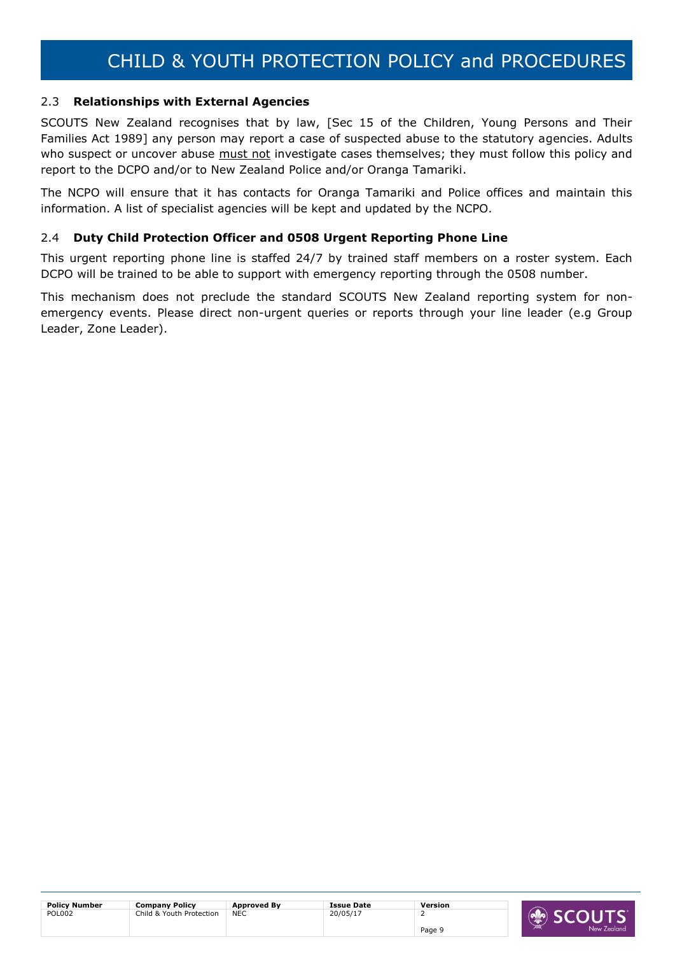### <span id="page-8-0"></span>2.3 **Relationships with External Agencies**

SCOUTS New Zealand recognises that by law, [Sec 15 of the Children, Young Persons and Their Families Act 1989] any person may report a case of suspected abuse to the statutory agencies. Adults who suspect or uncover abuse must not investigate cases themselves; they must follow this policy and report to the DCPO and/or to New Zealand Police and/or Oranga Tamariki.

The NCPO will ensure that it has contacts for Oranga Tamariki and Police offices and maintain this information. A list of specialist agencies will be kept and updated by the NCPO.

### <span id="page-8-1"></span>2.4 **Duty Child Protection Officer and 0508 Urgent Reporting Phone Line**

This urgent reporting phone line is staffed 24/7 by trained staff members on a roster system. Each DCPO will be trained to be able to support with emergency reporting through the 0508 number.

This mechanism does not preclude the standard SCOUTS New Zealand reporting system for nonemergency events. Please direct non-urgent queries or reports through your line leader (e.g Group Leader, Zone Leader).

| <b>Policy Number</b> | <b>Company Policy</b>    | <b>Approved By</b> | <b>Issue Date</b> | Version |  |
|----------------------|--------------------------|--------------------|-------------------|---------|--|
| <b>POL002</b>        | Child & Youth Protection | <b>NEC</b>         | 20/05/17          |         |  |
|                      |                          |                    |                   | Page 9  |  |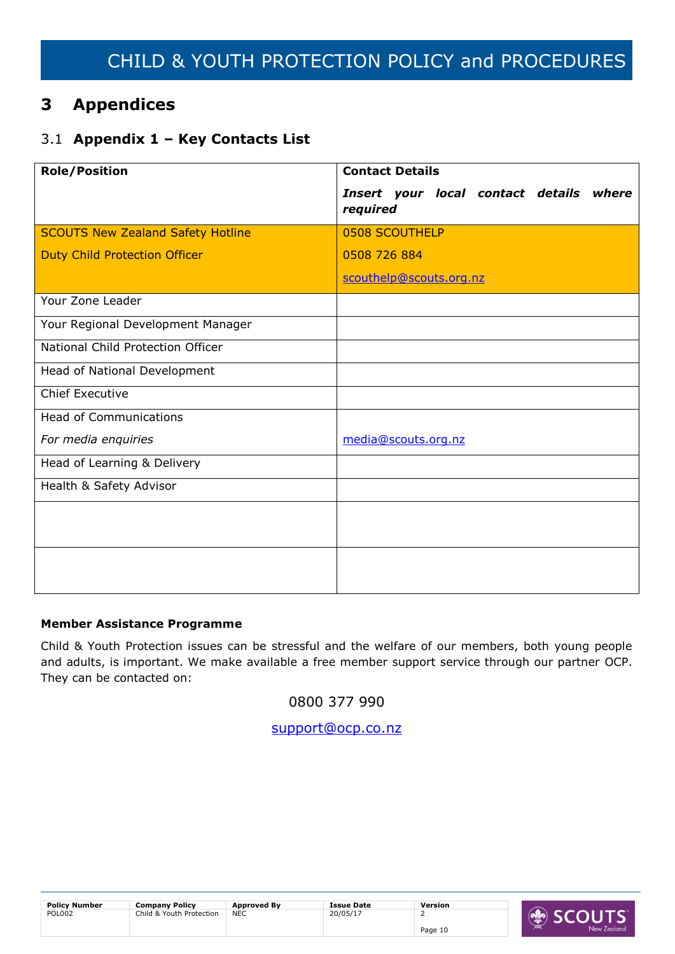## <span id="page-9-0"></span>**3 Appendices**

### <span id="page-9-1"></span>3.1 **Appendix 1 – Key Contacts List**

| <b>Role/Position</b>                     | <b>Contact Details</b>                              |
|------------------------------------------|-----------------------------------------------------|
|                                          | Insert your local contact details where<br>required |
| <b>SCOUTS New Zealand Safety Hotline</b> | 0508 SCOUTHELP                                      |
| <b>Duty Child Protection Officer</b>     | 0508 726 884                                        |
|                                          | scouthelp@scouts.org.nz                             |
| Your Zone Leader                         |                                                     |
| Your Regional Development Manager        |                                                     |
| National Child Protection Officer        |                                                     |
| Head of National Development             |                                                     |
| <b>Chief Executive</b>                   |                                                     |
| <b>Head of Communications</b>            |                                                     |
| For media enquiries                      | media@scouts.org.nz                                 |
| Head of Learning & Delivery              |                                                     |
| Health & Safety Advisor                  |                                                     |
|                                          |                                                     |
|                                          |                                                     |
|                                          |                                                     |
|                                          |                                                     |

### **Member Assistance Programme**

Child & Youth Protection issues can be stressful and the welfare of our members, both young people and adults, is important. We make available a free member support service through our partner OCP. They can be contacted on:

0800 377 990

[support@ocp.co.nz](mailto:support@ocp.co.nz)

| <b>Policy Number</b> | <b>Company Policy</b>    | <b>Approved By</b> | <b>Issue Date</b> | <b>Version</b> |
|----------------------|--------------------------|--------------------|-------------------|----------------|
| <b>POL002</b>        | Child & Youth Protection | <b>NEC</b><br>__   | 20/05/17          |                |
|                      |                          |                    |                   | Page 10        |

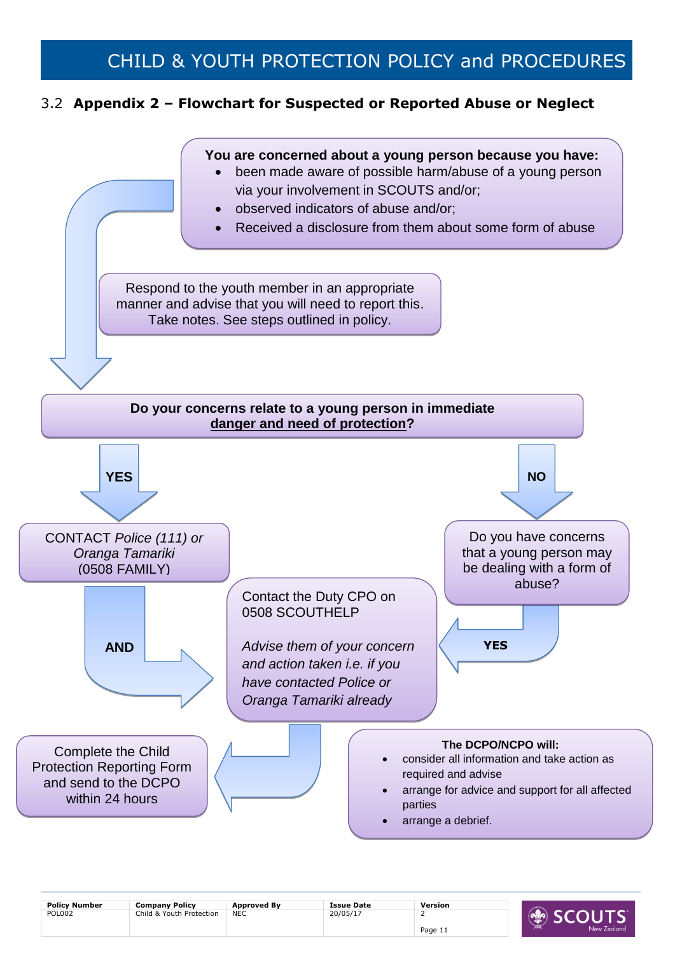### <span id="page-10-0"></span>3.2 **Appendix 2 – Flowchart for Suspected or Reported Abuse or Neglect**



| <b>Policy Number</b> | <b>Company Policy</b>    | <b>Approved By</b> | <b>Issue Date</b> | Version |           |
|----------------------|--------------------------|--------------------|-------------------|---------|-----------|
| <b>POL002</b>        | Child & Youth Protection | <b>NEC</b>         | 20/05/17          |         |           |
|                      |                          |                    |                   | Page 1ı | New Zeala |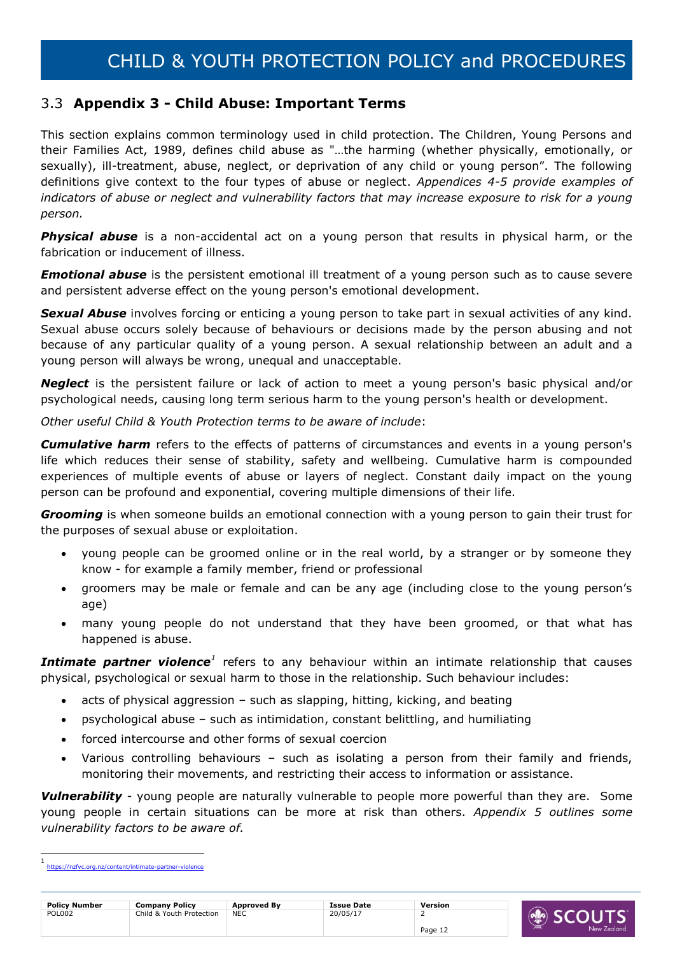### <span id="page-11-0"></span>3.3 **Appendix 3 - Child Abuse: Important Terms**

This section explains common terminology used in child protection. The Children, Young Persons and their Families Act, 1989, defines child abuse as "…the harming (whether physically, emotionally, or sexually), ill-treatment, abuse, neglect, or deprivation of any child or young person". The following definitions give context to the four types of abuse or neglect. *Appendices 4-5 provide examples of indicators of abuse or neglect and vulnerability factors that may increase exposure to risk for a young person.*

**Physical abuse** is a non-accidental act on a young person that results in physical harm, or the fabrication or inducement of illness.

**Emotional abuse** is the persistent emotional ill treatment of a young person such as to cause severe and persistent adverse effect on the young person's emotional development.

*Sexual Abuse* involves forcing or enticing a young person to take part in sexual activities of any kind. Sexual abuse occurs solely because of behaviours or decisions made by the person abusing and not because of any particular quality of a young person. A sexual relationship between an adult and a young person will always be wrong, unequal and unacceptable.

*Neglect* is the persistent failure or lack of action to meet a young person's basic physical and/or psychological needs, causing long term serious harm to the young person's health or development.

*Other useful Child & Youth Protection terms to be aware of include*:

*Cumulative harm* refers to the effects of patterns of circumstances and events in a young person's life which reduces their sense of stability, safety and wellbeing*.* Cumulative harm is compounded experiences of multiple events of abuse or layers of neglect. Constant daily impact on the young person can be profound and exponential, covering multiple dimensions of their life.

*Grooming* is when someone builds an emotional connection with a young person to gain their trust for the purposes of sexual abuse or exploitation.

- young people can be groomed online or in the real world, by a stranger or by someone they know - for example a family member, friend or professional
- groomers may be male or female and can be any age (including close to the young person's age)
- many young people do not understand that they have been groomed, or that what has happened is abuse.

**Intimate partner violence**<sup>1</sup> refers to any behaviour within an intimate relationship that causes physical, psychological or sexual harm to those in the relationship. Such behaviour includes:

- acts of physical aggression such as slapping, hitting, kicking, and beating
- psychological abuse such as intimidation, constant belittling, and humiliating
- forced intercourse and other forms of sexual coercion
- Various controlling behaviours such as isolating a person from their family and friends, monitoring their movements, and restricting their access to information or assistance.

*Vulnerability* - young people are naturally vulnerable to people more powerful than they are. Some young people in certain situations can be more at risk than others. *Appendix 5 outlines some vulnerability factors to be aware of.*

-



<sup>1</sup> <https://nzfvc.org.nz/content/intimate-partner-violence>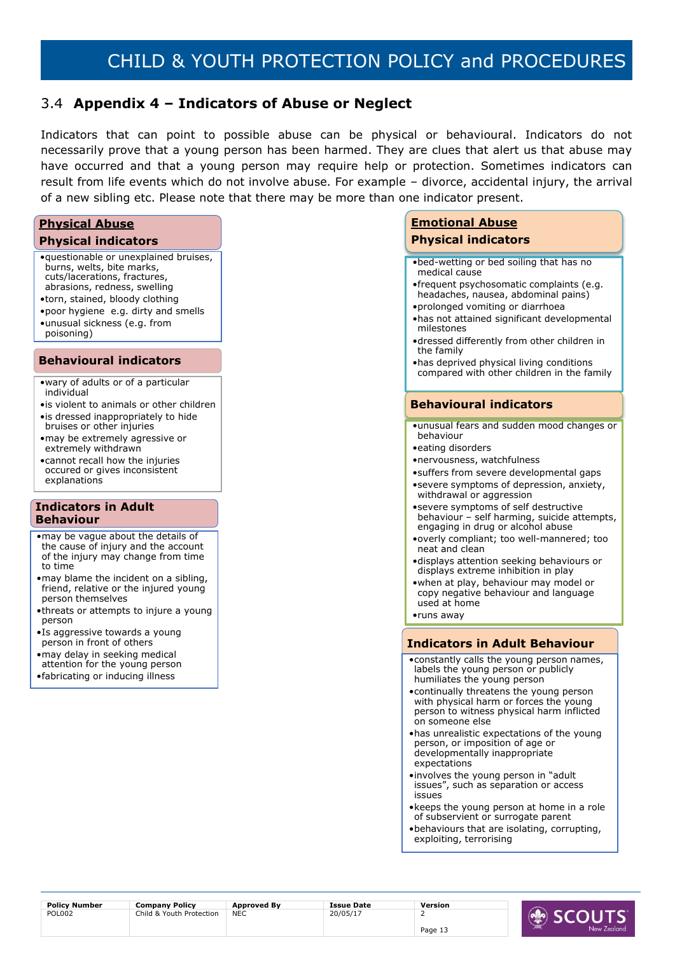### <span id="page-12-0"></span>3.4 **Appendix 4 – Indicators of Abuse or Neglect**

Indicators that can point to possible abuse can be physical or behavioural. Indicators do not necessarily prove that a young person has been harmed. They are clues that alert us that abuse may have occurred and that a young person may require help or protection. Sometimes indicators can result from life events which do not involve abuse. For example – divorce, accidental injury, the arrival of a new sibling etc. Please note that there may be more than one indicator present.

### **Physical Abuse Physical indicators** •questionable or unexplained bruises, burns, welts, bite marks, cuts/lacerations, fractures, abrasions, redness, swelling •torn, stained, bloody clothing •poor hygiene e.g. dirty and smells •unusual sickness (e.g. from poisoning) **Behavioural indicators** •wary of adults or of a particular

- individual
- •is violent to animals or other children •is dressed inappropriately to hide
- bruises or other injuries •may be extremely agressive or extremely withdrawn
- •cannot recall how the injuries occured or gives inconsistent explanations

#### **Indicators in Adult Behaviour**

- •may be vague about the details of the cause of injury and the account of the injury may change from time to time
- •may blame the incident on a sibling, friend, relative or the injured young person themselves
- •threats or attempts to injure a young person
- •Is aggressive towards a young person in front of others
- •may delay in seeking medical attention for the young person
- •fabricating or inducing illness

### **Emotional Abuse Physical indicators**

- •bed-wetting or bed soiling that has no medical cause
- •frequent psychosomatic complaints (e.g. headaches, nausea, abdominal pains)
- •prolonged vomiting or diarrhoea
- •has not attained significant developmental milestones
- •dressed differently from other children in the family
- •has deprived physical living conditions compared with other children in the family

### **Behavioural indicators**

- •unusual fears and sudden mood changes or behaviour
- •eating disorders
- •nervousness, watchfulness
- •suffers from severe developmental gaps
- •severe symptoms of depression, anxiety, withdrawal or aggression
- •severe symptoms of self destructive behaviour – self harming, suicide attempts, engaging in drug or alcohol abuse
- •overly compliant; too well-mannered; too neat and clean
- •displays attention seeking behaviours or displays extreme inhibition in play
- •when at play, behaviour may model or copy negative behaviour and language used at home

•runs away

### **Indicators in Adult Behaviour**

- •constantly calls the young person names, labels the young person or publicly humiliates the young person
- •continually threatens the young person with physical harm or forces the young person to witness physical harm inflicted on someone else
- •has unrealistic expectations of the young person, or imposition of age or developmentally inappropriate expectations
- •involves the young person in "adult issues", such as separation or access issues
- •keeps the young person at home in a role of subservient or surrogate parent
- •behaviours that are isolating, corrupting, exploiting, terrorising

| <b>Policy Number</b> | <b>Company Policy</b>    | <b>Approved By</b> | <b>Issue Date</b> | Version |                  |
|----------------------|--------------------------|--------------------|-------------------|---------|------------------|
| <b>POL002</b>        | Child & Youth Protection | <b>NEC</b>         | 20/05/17          |         | <b>AND SCOUT</b> |
|                      |                          |                    |                   | Page 1. | New Zeala<br>ДW  |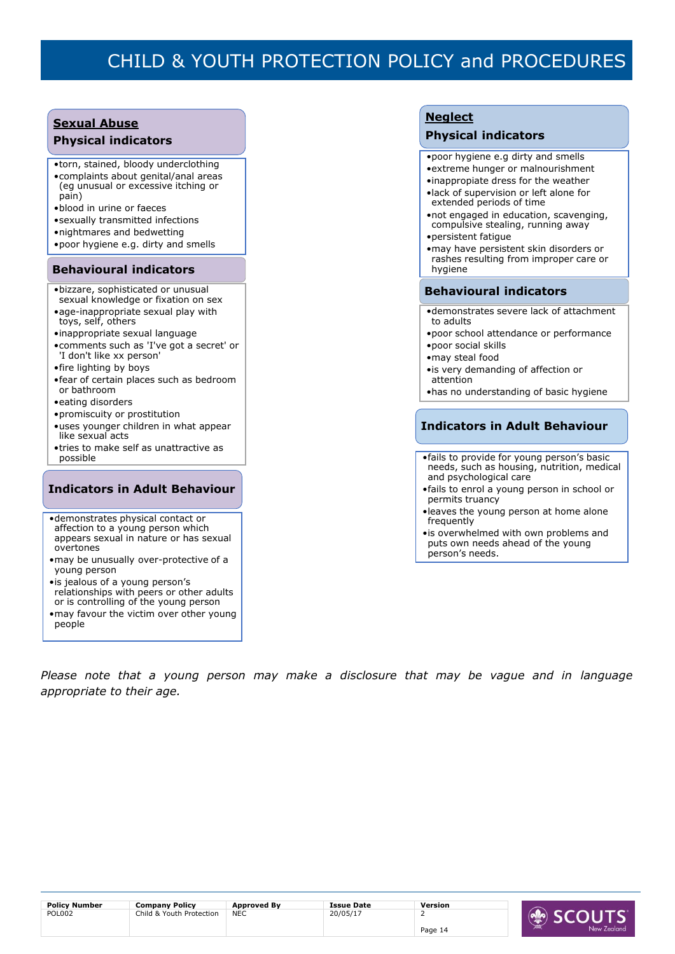## **Sexual Abuse**

#### **Physical indicators**

- •torn, stained, bloody underclothing •complaints about genital/anal areas (eg unusual or excessive itching or pain)
- •blood in urine or faeces
- •sexually transmitted infections
- •nightmares and bedwetting
- •poor hygiene e.g. dirty and smells

### **Behavioural indicators**

- •bizzare, sophisticated or unusual sexual knowledge or fixation on sex
- •age-inappropriate sexual play with toys, self, others
- •inappropriate sexual language
- •comments such as 'I've got a secret' or 'I don't like xx person'
- •fire lighting by boys
- •fear of certain places such as bedroom or bathroom
- •eating disorders
- •promiscuity or prostitution
- •uses younger children in what appear like sexual acts
- •tries to make self as unattractive as possible

### **Indicators in Adult Behaviour**

- •demonstrates physical contact or affection to a young person which appears sexual in nature or has sexual overtones
- •may be unusually over-protective of a young person
- •is jealous of a young person's relationships with peers or other adults or is controlling of the young person •may favour the victim over other young
- people

### **Neglect**

### **Physical indicators**

- •poor hygiene e.g dirty and smells
- •extreme hunger or malnourishment
- •inappropiate dress for the weather •lack of supervision or left alone for
- extended periods of time
- •not engaged in education, scavenging, compulsive stealing, running away
- •persistent fatigue
- •may have persistent skin disorders or rashes resulting from improper care or hygiene

#### **Behavioural indicators**

- •demonstrates severe lack of attachment to adults
- •poor school attendance or performance •poor social skills
- •may steal food
- •is very demanding of affection or attention
- •has no understanding of basic hygiene

### **Indicators in Adult Behaviour**

- •fails to provide for young person's basic needs, such as housing, nutrition, medical and psychological care
- •fails to enrol a young person in school or permits truancy
- •leaves the young person at home alone frequently
- •is overwhelmed with own problems and puts own needs ahead of the young person's needs.

*Please note that a young person may make a disclosure that may be vague and in language appropriate to their age.*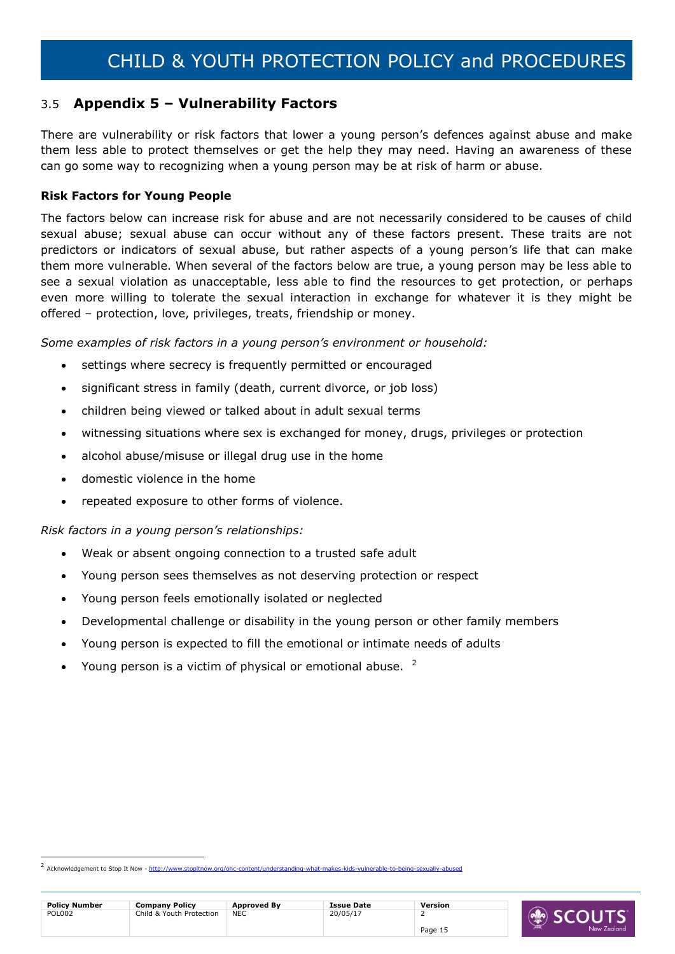### <span id="page-14-0"></span>3.5 **Appendix 5 – Vulnerability Factors**

There are vulnerability or risk factors that lower a young person's defences against abuse and make them less able to protect themselves or get the help they may need. Having an awareness of these can go some way to recognizing when a young person may be at risk of harm or abuse.

### **Risk Factors for Young People**

The factors below can increase risk for abuse and are not necessarily considered to be causes of child sexual abuse; sexual abuse can occur without any of these factors present. These traits are not predictors or indicators of sexual abuse, but rather aspects of a young person's life that can make them more vulnerable. When several of the factors below are true, a young person may be less able to see a sexual violation as unacceptable, less able to find the resources to get protection, or perhaps even more willing to tolerate the sexual interaction in exchange for whatever it is they might be offered – protection, love, privileges, treats, friendship or money.

Some examples of risk factors in a young person's environment or household:

- settings where secrecy is frequently permitted or encouraged
- significant stress in family (death, current divorce, or job loss)
- children being viewed or talked about in adult sexual terms
- witnessing situations where sex is exchanged for money, drugs, privileges or protection
- alcohol abuse/misuse or illegal drug use in the home
- domestic violence in the home

-

repeated exposure to other forms of violence.

### *Risk factors in a young person's relationships:*

- Weak or absent ongoing connection to a trusted safe adult
- Young person sees themselves as not deserving protection or respect
- Young person feels emotionally isolated or neglected
- Developmental challenge or disability in the young person or other family members
- Young person is expected to fill the emotional or intimate needs of adults
- Young person is a victim of physical or emotional abuse. <sup>2</sup>

<sup>&</sup>lt;sup>2</sup> Acknowledgement to Stop It Now - <http://www.stopitnow.org/ohc-content/understanding-what-makes-kids-vulnerable-to-being-sexually-abused>

| <b>Policy Number</b> | <b>Company Policy</b>    | <b>Approved By</b> | <b>Issue Date</b> | Version |
|----------------------|--------------------------|--------------------|-------------------|---------|
| POL002               | Child & Youth Protection | <b>NEC</b>         | 20/05/17          |         |
|                      |                          |                    |                   | Page 15 |